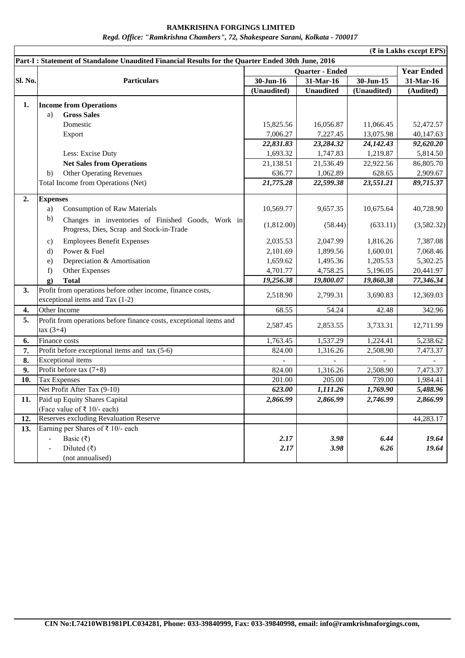## **RAMKRISHNA FORGINGS LIMITED** *Regd. Office: "Ramkrishna Chambers", 72, Shakespeare Sarani, Kolkata - 700017*

|                                                                                                   | (₹ in Lakhs except EPS)                                            |                        |                  |             |                   |  |
|---------------------------------------------------------------------------------------------------|--------------------------------------------------------------------|------------------------|------------------|-------------|-------------------|--|
| Part-I: Statement of Standalone Unaudited Financial Results for the Quarter Ended 30th June, 2016 |                                                                    |                        |                  |             |                   |  |
|                                                                                                   |                                                                    | <b>Quarter - Ended</b> |                  |             | <b>Year Ended</b> |  |
| Sl. No.                                                                                           | <b>Particulars</b>                                                 | 30-Jun-16              | 31-Mar-16        | $30-Jun-15$ | 31-Mar-16         |  |
|                                                                                                   |                                                                    | (Unaudited)            | <b>Unaudited</b> | (Unaudited) | (Audited)         |  |
| 1.                                                                                                | <b>Income from Operations</b>                                      |                        |                  |             |                   |  |
|                                                                                                   | <b>Gross Sales</b><br>a)                                           |                        |                  |             |                   |  |
|                                                                                                   | Domestic                                                           | 15,825.56              | 16,056.87        | 11,066.45   | 52,472.57         |  |
|                                                                                                   | Export                                                             | 7,006.27               | 7,227.45         | 13,075.98   | 40,147.63         |  |
|                                                                                                   |                                                                    | 22,831.83              | 23,284.32        | 24,142.43   | 92,620.20         |  |
|                                                                                                   | Less: Excise Duty                                                  | 1,693.32               | 1,747.83         | 1,219.87    | 5,814.50          |  |
|                                                                                                   | <b>Net Sales from Operations</b>                                   | 21,138.51              | 21,536.49        | 22,922.56   | 86,805.70         |  |
|                                                                                                   | <b>Other Operating Revenues</b><br>b)                              | 636.77                 | 1,062.89         | 628.65      | 2,909.67          |  |
|                                                                                                   | Total Income from Operations (Net)                                 | 21,775.28              | 22,599.38        | 23,551.21   | 89,715.37         |  |
|                                                                                                   |                                                                    |                        |                  |             |                   |  |
| 2.                                                                                                | <b>Expenses</b>                                                    |                        |                  |             |                   |  |
|                                                                                                   | <b>Consumption of Raw Materials</b><br>a)                          | 10,569.77              | 9,657.35         | 10,675.64   | 40,728.90         |  |
|                                                                                                   | b)<br>Changes in inventories of Finished Goods, Work in            | (1,812.00)             | (58.44)          | (633.11)    | (3,582.32)        |  |
|                                                                                                   | Progress, Dies, Scrap and Stock-in-Trade                           |                        |                  |             |                   |  |
|                                                                                                   | <b>Employees Benefit Expenses</b><br>$\mathbf{c})$                 | 2,035.53               | 2,047.99         | 1,816.26    | 7,387.08          |  |
|                                                                                                   | Power & Fuel<br>$\rm d$                                            | 2,101.69               | 1,899.56         | 1,600.01    | 7,068.46          |  |
|                                                                                                   | Depreciation & Amortisation<br>e)                                  | 1,659.62               | 1,495.36         | 1,205.53    | 5,302.25          |  |
|                                                                                                   | Other Expenses<br>f)                                               | 4,701.77               | 4,758.25         | 5,196.05    | 20,441.97         |  |
|                                                                                                   | <b>Total</b><br>g)                                                 | 19,256.38              | 19,800.07        | 19,860.38   | 77,346.34         |  |
| 3.                                                                                                | Profit from operations before other income, finance costs,         | 2,518.90               | 2,799.31         | 3,690.83    | 12,369.03         |  |
|                                                                                                   | exceptional items and Tax (1-2)                                    |                        |                  |             |                   |  |
| 4.                                                                                                | Other Income                                                       | 68.55                  | 54.24            | 42.48       | 342.96            |  |
| 5.                                                                                                | Profit from operations before finance costs, exceptional items and | 2,587.45               | 2,853.55         | 3,733.31    | 12,711.99         |  |
|                                                                                                   | $\arctan(3+4)$                                                     |                        |                  |             |                   |  |
| 6.                                                                                                | Finance costs                                                      | 1,763.45               | 1,537.29         | 1,224.41    | 5,238.62          |  |
| 7.                                                                                                | Profit before exceptional items and tax (5-6)                      | 824.00                 | 1,316.26         | 2,508.90    | 7,473.37          |  |
| 8.                                                                                                | <b>Exceptional</b> items                                           |                        |                  |             |                   |  |
| 9.                                                                                                | Profit before tax $(7+8)$                                          | 824.00                 | 1,316.26         | 2,508.90    | 7,473.37          |  |
| 10.                                                                                               | <b>Tax Expenses</b>                                                | 201.00                 | 205.00           | 739.00      | 1,984.41          |  |
|                                                                                                   | Net Profit After Tax (9-10)                                        | 623.00                 | 1,111.26         | 1,769.90    | 5,488.96          |  |
| 11.                                                                                               | Paid up Equity Shares Capital                                      | 2,866.99               | 2,866.99         | 2,746.99    | 2,866.99          |  |
|                                                                                                   | (Face value of $\bar{\tau}$ 10/- each)                             |                        |                  |             |                   |  |
| 12.                                                                                               | <b>Reserves excluding Revaluation Reserve</b>                      |                        |                  |             | 44,283.17         |  |
| 13.                                                                                               | Earning per Shares of $\bar{\tau}$ 10/- each                       |                        |                  |             |                   |  |
|                                                                                                   | Basic (₹)                                                          | 2.17                   | 3.98             | 6.44        | 19.64             |  |
|                                                                                                   | Diluted $(\overline{\zeta})$                                       | 2.17                   | 3.98             | 6.26        | 19.64             |  |
|                                                                                                   | (not annualised)                                                   |                        |                  |             |                   |  |